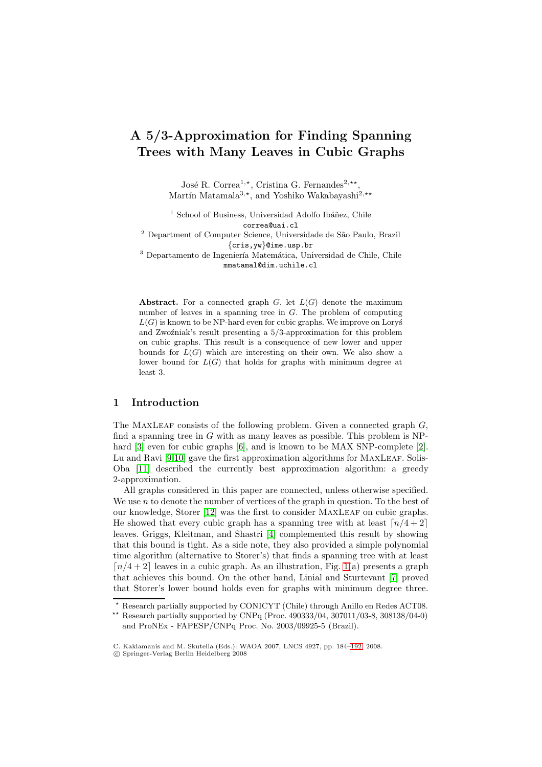# **A 5***/***3-Approximation for Finding Spanning Trees with Many Leaves in Cubic Graphs**

José R. Correa<sup>1,\*</sup>, Cristina G. Fernandes<sup>2,\*\*</sup>, Martín Matamala<sup>3,\*</sup>, and Yoshiko Wakabayashi<sup>2,\*\*</sup>

 $1$  School of Business, Universidad Adolfo Ibáñez, Chile correa@uai.cl

<sup>2</sup> Department of Computer Science, Universidade de São Paulo, Brazil {cris,yw}@ime.usp.br

<sup>3</sup> Departamento de Ingeniería Matemática, Universidad de Chile, Chile mmatamal@dim.uchile.cl

**Abstract.** For a connected graph  $G$ , let  $L(G)$  denote the maximum number of leaves in a spanning tree in G. The problem of computing  $L(G)$  is known to be NP-hard even for cubic graphs. We improve on Lorys and Zwoźniak's result presenting a  $5/3$ -approximation for this problem on cubic graphs. This result is a consequence of new lower and upper bounds for  $L(G)$  which are interesting on their own. We also show a lower bound for  $L(G)$  that holds for graphs with minimum degree at least 3.

# **1 Introduction**

The MAXLEAF consists of the following problem. Given a connected graph  $G$ , find a spanning tree in  $G$  with as many leaves as possible. This problem is NP-hard [\[3\]](#page-7-0) even for cubic graphs [\[6\]](#page-8-0), and is known to be MAX SNP-complete [\[2\]](#page-7-1). Lu and Ravi  $[9,10]$  $[9,10]$  gave the first approximation algorithms for MAXLEAF. Solis-Oba [\[11\]](#page-8-3) described the currently best approximation algorithm: a greedy 2-approximation.

All graphs considered in this paper are connected, unless otherwise specified. We use  $n$  to denote the number of vertices of the graph in question. To the best of our knowledge, Storer [\[12\]](#page-8-4) was the first to consider MAXLEAF on cubic graphs. He showed that every cubic graph has a spanning tree with at least  $\lceil n/4+2 \rceil$ leaves. Griggs, Kleitman, and Shastri [\[4\]](#page-7-2) complemented this result by showing that this bound is tight. As a side note, they also provided a simple polynomial time algorithm (alternative to Storer's) that finds a spanning tree with at least  $\lceil n/4+2 \rceil$  leaves in a cubic graph. As an illustration, Fig. [1\(](#page-1-0)a) presents a graph that achieves this bound. On the other hand, Linial and Sturtevant [\[7\]](#page-8-5) proved that Storer's lower bound holds even for graphs with minimum degree three.

<sup>-</sup> Research partially supported by CONICYT (Chile) through Anillo en Redes ACT08.

<sup>\*\*</sup> Research partially supported by CNPq (Proc.  $490333/04$ ,  $307011/03$ -8,  $308138/04$ -0) and ProNEx - FAPESP/CNPq Proc. No. 2003/09925-5 (Brazil).

C. Kaklamanis and M. Skutella (Eds.): WAOA 2007, LNCS 4927, pp. 184[–192,](#page-7-3) 2008.

<sup>-</sup>c Springer-Verlag Berlin Heidelberg 2008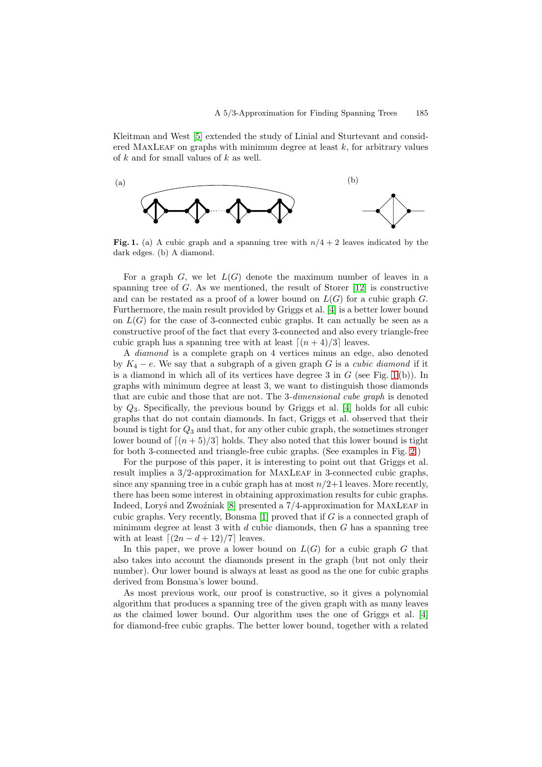Kleitman and West [\[5\]](#page-7-4) extended the study of Linial and Sturtevant and considered MAXLEAF on graphs with minimum degree at least  $k$ , for arbitrary values of k and for small values of k as well.



<span id="page-1-0"></span>**Fig. 1.** (a) A cubic graph and a spanning tree with  $n/4 + 2$  leaves indicated by the dark edges. (b) A diamond.

For a graph  $G$ , we let  $L(G)$  denote the maximum number of leaves in a spanning tree of  $G$ . As we mentioned, the result of Storer  $[12]$  is constructive and can be restated as a proof of a lower bound on  $L(G)$  for a cubic graph G. Furthermore, the main result provided by Griggs et al. [\[4\]](#page-7-2) is a better lower bound on  $L(G)$  for the case of 3-connected cubic graphs. It can actually be seen as a constructive proof of the fact that every 3-connected and also every triangle-free cubic graph has a spanning tree with at least  $\lfloor (n + 4)/3 \rfloor$  leaves.

A diamond is a complete graph on 4 vertices minus an edge, also denoted by  $K_4 - e$ . We say that a subgraph of a given graph G is a *cubic diamond* if it is a diamond in which all of its vertices have degree 3 in  $G$  (see Fig. [1](#page-1-0)(b)). In graphs with minimum degree at least 3, we want to distinguish those diamonds that are cubic and those that are not. The 3-dimensional cube graph is denoted by Q3. Specifically, the previous bound by Griggs et al. [\[4\]](#page-7-2) holds for all cubic graphs that do not contain diamonds. In fact, Griggs et al. observed that their bound is tight for  $Q_3$  and that, for any other cubic graph, the sometimes stronger lower bound of  $\lceil (n + 5)/3 \rceil$  holds. They also noted that this lower bound is tight for both 3-connected and triangle-free cubic graphs. (See examples in Fig. [2.](#page-2-0))

For the purpose of this paper, it is interesting to point out that Griggs et al. result implies a  $3/2$ -approximation for MAXLEAF in 3-connected cubic graphs, since any spanning tree in a cubic graph has at most  $n/2+1$  leaves. More recently, there has been some interest in obtaining approximation results for cubic graphs. Indeed, Lory's and Zwoźniak [\[8\]](#page-8-6) presented a  $7/4$ -approximation for MAXLEAF in cubic graphs. Very recently, Bonsma  $[1]$  proved that if  $G$  is a connected graph of minimum degree at least 3 with  $d$  cubic diamonds, then  $G$  has a spanning tree with at least  $\lfloor (2n - d + 12)/7 \rfloor$  leaves.

In this paper, we prove a lower bound on  $L(G)$  for a cubic graph G that also takes into account the diamonds present in the graph (but not only their number). Our lower bound is always at least as good as the one for cubic graphs derived from Bonsma's lower bound.

As most previous work, our proof is constructive, so it gives a polynomial algorithm that produces a spanning tree of the given graph with as many leaves as the claimed lower bound. Our algorithm uses the one of Griggs et al. [\[4\]](#page-7-2) for diamond-free cubic graphs. The better lower bound, together with a related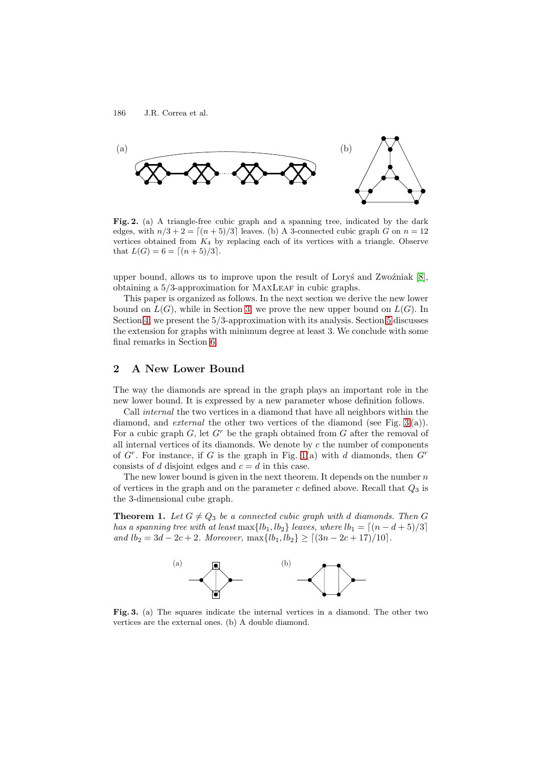

<span id="page-2-0"></span>**Fig. 2.** (a) A triangle-free cubic graph and a spanning tree, indicated by the dark edges, with  $n/3 + 2 = \lfloor (n + 5)/3 \rfloor$  leaves. (b) A 3-connected cubic graph G on  $n = 12$ vertices obtained from  $K_4$  by replacing each of its vertices with a triangle. Observe that  $L(G) = 6 = \lceil (n+5)/3 \rceil$ .

upper bound, allows us to improve upon the result of Lory's and Zwo $\zeta$ niak [\[8\]](#page-8-6), obtaining a  $5/3$ -approximation for MAXLEAF in cubic graphs.

This paper is organized as follows. In the next section we derive the new lower bound on  $L(G)$ , while in Section [3,](#page-4-0) we prove the new upper bound on  $L(G)$ . In Section [4,](#page-5-0) we present the 5/3-approximation with its analysis. Section [5](#page-6-0) discusses the extension for graphs with minimum degree at least 3. We conclude with some final remarks in Section [6.](#page-7-6)

# **2 A New Lower Bound**

The way the diamonds are spread in the graph plays an important role in the new lower bound. It is expressed by a new parameter whose definition follows.

Call internal the two vertices in a diamond that have all neighbors within the diamond, and *external* the other two vertices of the diamond (see Fig. [3](#page-2-1)(a)). For a cubic graph  $G$ , let  $G<sup>r</sup>$  be the graph obtained from  $G$  after the removal of all internal vertices of its diamonds. We denote by  $c$  the number of components of  $G<sup>r</sup>$ . For instance, if G is the graph in Fig. [1\(](#page-1-0)a) with d diamonds, then  $G<sup>r</sup>$ consists of d disjoint edges and  $c = d$  in this case.

The new lower bound is given in the next theorem. It depends on the number  $n$ of vertices in the graph and on the parameter  $c$  defined above. Recall that  $Q_3$  is the 3-dimensional cube graph.

<span id="page-2-2"></span>**Theorem 1.** Let  $G \neq Q_3$  be a connected cubic graph with d diamonds. Then G has a spanning tree with at least  $\max\{lb_1, lb_2\}$  leaves, where  $lb_1 = \lceil (n - d + 5)/3 \rceil$ and  $lb_2 = 3d - 2c + 2$ . Moreover,  $\max\{lb_1, lb_2\} \geq \lfloor (3n - 2c + 17)/10 \rfloor$ .



<span id="page-2-1"></span>**Fig. 3.** (a) The squares indicate the internal vertices in a diamond. The other two vertices are the external ones. (b) A double diamond.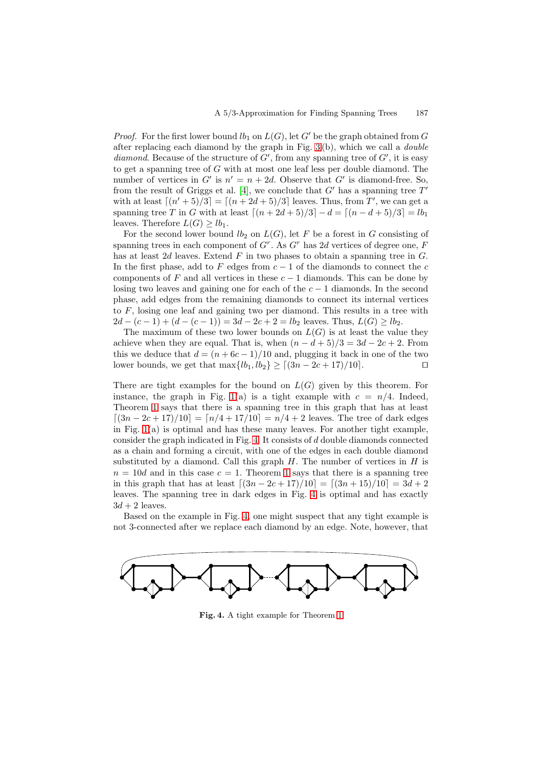*Proof.* For the first lower bound  $lb_1$  on  $L(G)$ , let G' be the graph obtained from G after replacing each diamond by the graph in Fig. [3](#page-2-1)(b), which we call a double diamond. Because of the structure of  $G'$ , from any spanning tree of  $G'$ , it is easy to get a spanning tree of G with at most one leaf less per double diamond. The number of vertices in  $G'$  is  $n' = n + 2d$ . Observe that  $G'$  is diamond-free. So, from the result of Griggs et al. [\[4\]](#page-7-2), we conclude that  $G'$  has a spanning tree  $T'$ with at least  $[(n'+5)/3] = [(n+2d+5)/3]$  leaves. Thus, from T', we can get a spanning tree T in G with at least  $\lceil (n + 2d + 5)/3 \rceil - d = \lceil (n - d + 5)/3 \rceil = lb_1$ leaves. Therefore  $L(G) \geq lb_1$ .

For the second lower bound  $lb_2$  on  $L(G)$ , let F be a forest in G consisting of spanning trees in each component of  $G<sup>r</sup>$ . As  $G<sup>r</sup>$  has 2d vertices of degree one, F has at least 2d leaves. Extend  $F$  in two phases to obtain a spanning tree in  $G$ . In the first phase, add to F edges from  $c - 1$  of the diamonds to connect the c components of F and all vertices in these  $c - 1$  diamonds. This can be done by losing two leaves and gaining one for each of the  $c - 1$  diamonds. In the second phase, add edges from the remaining diamonds to connect its internal vertices to F, losing one leaf and gaining two per diamond. This results in a tree with  $2d - (c - 1) + (d - (c - 1)) = 3d - 2c + 2 = lb_2$  leaves. Thus,  $L(G) \ge lb_2$ .

The maximum of these two lower bounds on  $L(G)$  is at least the value they achieve when they are equal. That is, when  $(n - d + 5)/3 = 3d - 2c + 2$ . From this we deduce that  $d = (n + 6c - 1)/10$  and, plugging it back in one of the two lower bounds, we get that  $\max\{lb_1, lb_2\} \geq \lfloor (3n - 2c + 17)/10 \rfloor$ .

There are tight examples for the bound on  $L(G)$  given by this theorem. For instance, the graph in Fig. [1\(](#page-1-0)a) is a tight example with  $c = n/4$ . Indeed, Theorem [1](#page-2-2) says that there is a spanning tree in this graph that has at least  $[(3n-2c+17)/10] = [n/4+17/10] = n/4+2$  leaves. The tree of dark edges in Fig.  $1(a)$  is optimal and has these many leaves. For another tight example, consider the graph indicated in Fig. [4.](#page-3-0) It consists of d double diamonds connected as a chain and forming a circuit, with one of the edges in each double diamond substituted by a diamond. Call this graph  $H$ . The number of vertices in  $H$  is  $n = 10d$  $n = 10d$  $n = 10d$  and in this case  $c = 1$ . Theorem 1 says that there is a spanning tree in this graph that has at least  $[(3n - 2c + 17)/10] = [(3n + 15)/10] = 3d + 2$ leaves. The spanning tree in dark edges in Fig. [4](#page-3-0) is optimal and has exactly  $3d + 2$  leaves.

Based on the example in Fig. [4,](#page-3-0) one might suspect that any tight example is not 3-connected after we replace each diamond by an edge. Note, however, that



<span id="page-3-0"></span>**Fig. 4.** A tight example for Theorem [1](#page-2-2)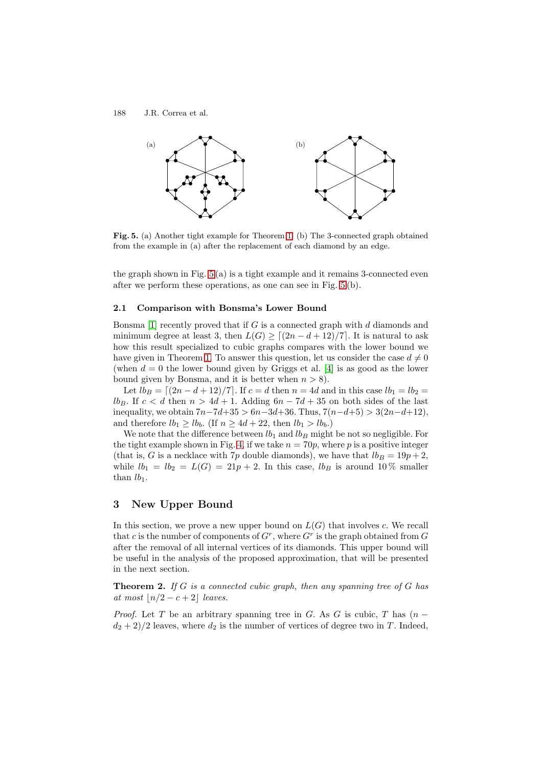188 J.R. Correa et al.



<span id="page-4-1"></span>**Fig. 5.** (a) Another tight example for Theorem [1.](#page-2-2) (b) The 3-connected graph obtained from the example in (a) after the replacement of each diamond by an edge.

the graph shown in Fig.  $5(a)$  is a tight example and it remains 3-connected even after we perform these operations, as one can see in Fig. [5](#page-4-1) (b).

#### **2.1 Comparison with Bonsma's Lower Bound**

Bonsma [\[1\]](#page-7-5) recently proved that if G is a connected graph with  $d$  diamonds and minimum degree at least 3, then  $L(G) \geq \lceil (2n - d + 12)/7 \rceil$ . It is natural to ask how this result specialized to cubic graphs compares with the lower bound we have given in Theorem [1.](#page-2-2) To answer this question, let us consider the case  $d \neq 0$ (when  $d = 0$  the lower bound given by Griggs et al. [\[4\]](#page-7-2) is as good as the lower bound given by Bonsma, and it is better when  $n > 8$ ).

Let  $lb_B = \lfloor (2n - d + 12)/7 \rfloor$ . If  $c = d$  then  $n = 4d$  and in this case  $lb_1 = lb_2 =$ lb<sub>B</sub>. If  $c < d$  then  $n > 4d + 1$ . Adding  $6n - 7d + 35$  on both sides of the last inequality, we obtain  $7n-7d+35 > 6n-3d+36$ . Thus,  $7(n-d+5) > 3(2n-d+12)$ , and therefore  $lb_1 \geq lb_b$ . (If  $n \geq 4d + 22$ , then  $lb_1 > lb_b$ .)

We note that the difference between  $lb_1$  and  $lb_B$  might be not so negligible. For the tight example shown in Fig. [4,](#page-3-0) if we take  $n = 70p$ , where p is a positive integer (that is, G is a necklace with 7p double diamonds), we have that  $lb_B = 19p + 2$ , while  $lb_1 = lb_2 = L(G) = 21p + 2$ . In this case,  $lb_B$  is around 10% smaller than  $lb_1$ .

# <span id="page-4-0"></span>**3 New Upper Bound**

In this section, we prove a new upper bound on  $L(G)$  that involves c. We recall that c is the number of components of  $G<sup>r</sup>$ , where  $G<sup>r</sup>$  is the graph obtained from G after the removal of all internal vertices of its diamonds. This upper bound will be useful in the analysis of the proposed approximation, that will be presented in the next section.

<span id="page-4-2"></span>**Theorem 2.** If G is a connected cubic graph, then any spanning tree of G has at most  $|n/2 - c + 2|$  leaves.

*Proof.* Let T be an arbitrary spanning tree in G. As G is cubic, T has  $(n$  $d_2 + 2/2$  leaves, where  $d_2$  is the number of vertices of degree two in T. Indeed,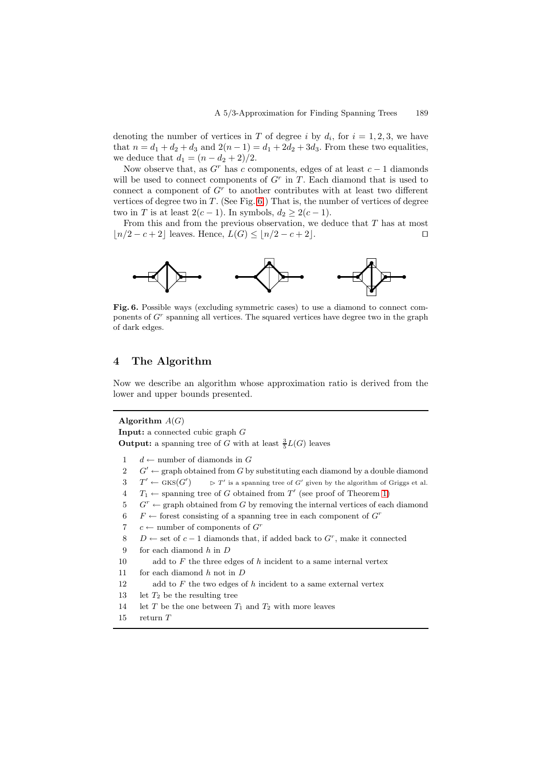denoting the number of vertices in T of degree i by  $d_i$ , for  $i = 1, 2, 3$ , we have that  $n = d_1 + d_2 + d_3$  and  $2(n - 1) = d_1 + 2d_2 + 3d_3$ . From these two equalities, we deduce that  $d_1 = (n - d_2 + 2)/2$ .

Now observe that, as  $G<sup>r</sup>$  has c components, edges of at least  $c - 1$  diamonds will be used to connect components of  $G<sup>r</sup>$  in T. Each diamond that is used to connect a component of  $G<sup>r</sup>$  to another contributes with at least two different vertices of degree two in  $T$ . (See Fig. [6.](#page-5-1)) That is, the number of vertices of degree two in T is at least  $2(c-1)$ . In symbols,  $d_2 \geq 2(c-1)$ .

From this and from the previous observation, we deduce that  $T$  has at most  $|n/2 - c + 2|$  leaves. Hence,  $L(G) \leq |n/2 - c + 2|$ . □



<span id="page-5-1"></span>**Fig. 6.** Possible ways (excluding symmetric cases) to use a diamond to connect components of  $G<sup>r</sup>$  spanning all vertices. The squared vertices have degree two in the graph of dark edges.

### <span id="page-5-0"></span>**4 The Algorithm**

Now we describe an algorithm whose approximation ratio is derived from the lower and upper bounds presented.

#### **Algorithm** A(G)

**Input:** a connected cubic graph G **Output:** a spanning tree of G with at least  $\frac{3}{5}L(G)$  leaves

- 1 d ← number of diamonds in G
- 2  $G' \leftarrow$  graph obtained from G by substituting each diamond by a double diamond
- 3  $T' \leftarrow$  GKS( $G'$  $\triangleright$   $T'$  is a spanning tree of G' given by the algorithm of Griggs et al.
- $4$   $T_1 \leftarrow$  spanning tree of G obtained from T' (see proof of Theorem [1\)](#page-2-2)
- $5 \text{ } G^r \leftarrow \text{graph obtained from } G \text{ by removing the internal vertices of each diamond}$
- 6 F ← forest consisting of a spanning tree in each component of  $G^r$
- 7 c ← number of components of  $G<sup>r</sup>$
- 8 D ← set of  $c-1$  diamonds that, if added back to  $G<sup>r</sup>$ , make it connected
- 9 for each diamond h in D
- 10 add to  $F$  the three edges of  $h$  incident to a same internal vertex
- 11 for each diamond  $h$  not in  $D$
- 12 add to  $F$  the two edges of  $h$  incident to a same external vertex
- 13 let  $T_2$  be the resulting tree
- 14 let T be the one between  $T_1$  and  $T_2$  with more leaves
- 15 return T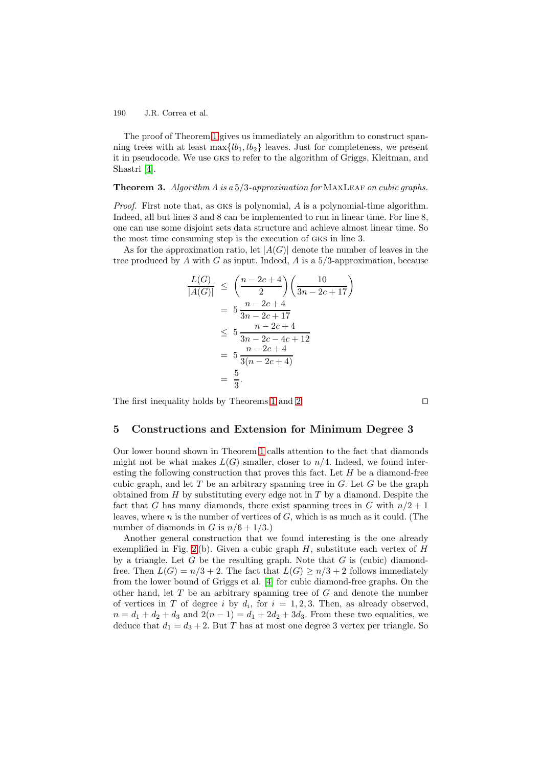190 J.R. Correa et al.

The proof of Theorem [1](#page-2-2) gives us immediately an algorithm to construct spanning trees with at least  $\max\{lb_1, lb_2\}$  leaves. Just for completeness, we present it in pseudocode. We use gks to refer to the algorithm of Griggs, Kleitman, and Shastri [\[4\]](#page-7-2).

#### **Theorem 3.** Algorithm A is a 5/3-approximation for MAXLEAF on cubic graphs.

Proof. First note that, as GKS is polynomial, A is a polynomial-time algorithm. Indeed, all but lines 3 and 8 can be implemented to run in linear time. For line 8, one can use some disjoint sets data structure and achieve almost linear time. So the most time consuming step is the execution of gks in line 3.

As for the approximation ratio, let  $|A(G)|$  denote the number of leaves in the tree produced by A with G as input. Indeed, A is a  $5/3$ -approximation, because

$$
\frac{L(G)}{|A(G)|} \le \left(\frac{n-2c+4}{2}\right) \left(\frac{10}{3n-2c+17}\right)
$$
  
=  $5 \frac{n-2c+4}{3n-2c+17}$   
 $\le 5 \frac{n-2c+4}{3n-2c-4c+12}$   
=  $5 \frac{n-2c+4}{3(n-2c+4)}$   
=  $\frac{5}{3}$ .

The first inequality holds by Theorems [1](#page-2-2) and [2.](#page-4-2)

#### <span id="page-6-0"></span>**5 Constructions and Extension for Minimum Degree 3**

Our lower bound shown in Theorem [1](#page-2-2) calls attention to the fact that diamonds might not be what makes  $L(G)$  smaller, closer to  $n/4$ . Indeed, we found interesting the following construction that proves this fact. Let  $H$  be a diamond-free cubic graph, and let  $T$  be an arbitrary spanning tree in  $G$ . Let  $G$  be the graph obtained from  $H$  by substituting every edge not in  $T$  by a diamond. Despite the fact that G has many diamonds, there exist spanning trees in G with  $n/2+1$ leaves, where  $n$  is the number of vertices of  $G$ , which is as much as it could. (The number of diamonds in G is  $n/6+1/3$ .

Another general construction that we found interesting is the one already exemplified in Fig. [2](#page-2-0)(b). Given a cubic graph H, substitute each vertex of H by a triangle. Let  $G$  be the resulting graph. Note that  $G$  is (cubic) diamondfree. Then  $L(G) = n/3 + 2$ . The fact that  $L(G) \ge n/3 + 2$  follows immediately from the lower bound of Griggs et al. [\[4\]](#page-7-2) for cubic diamond-free graphs. On the other hand, let  $T$  be an arbitrary spanning tree of  $G$  and denote the number of vertices in T of degree i by  $d_i$ , for  $i = 1, 2, 3$ . Then, as already observed,  $n = d_1 + d_2 + d_3$  and  $2(n - 1) = d_1 + 2d_2 + 3d_3$ . From these two equalities, we deduce that  $d_1 = d_3 + 2$ . But T has at most one degree 3 vertex per triangle. So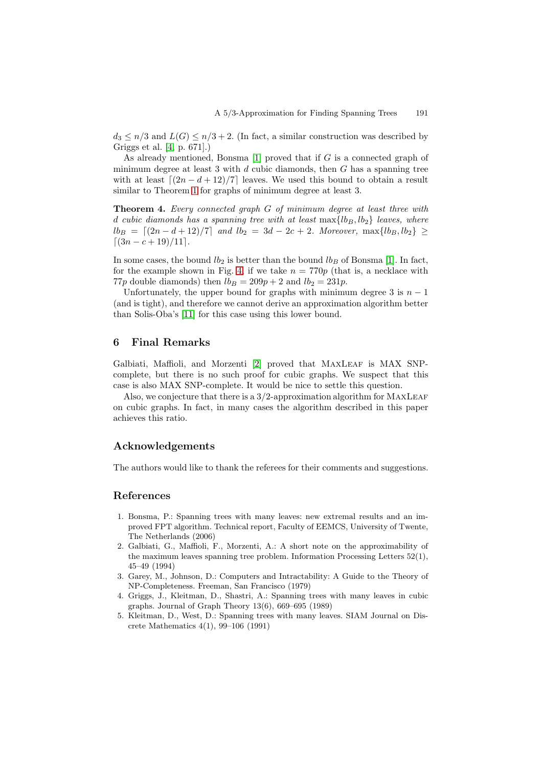$d_3 \leq n/3$  and  $L(G) \leq n/3 + 2$ . (In fact, a similar construction was described by Griggs et al. [\[4,](#page-7-2) p. 671].)

As already mentioned, Bonsma  $[1]$  proved that if G is a connected graph of minimum degree at least 3 with  $d$  cubic diamonds, then  $G$  has a spanning tree with at least  $\lfloor (2n - d + 12)/7 \rfloor$  leaves. We used this bound to obtain a result similar to Theorem [1](#page-2-2) for graphs of minimum degree at least 3.

**Theorem 4.** Every connected graph G of minimum degree at least three with d cubic diamonds has a spanning tree with at least  $\max\{lb_B, lb_2\}$  leaves, where  $lb_B = [(2n-d+12)/7]$  and  $lb_2 = 3d-2c+2$ . Moreover,  $\max\{lb_B, lb_2\} \ge$  $\left[ (3n - c + 19)/11 \right]$ .

In some cases, the bound  $lb_2$  is better than the bound  $lb_B$  of Bonsma [\[1\]](#page-7-5). In fact, for the example shown in Fig. [4,](#page-3-0) if we take  $n = 770p$  (that is, a necklace with 77p double diamonds) then  $lb_B = 209p + 2$  and  $lb_2 = 231p$ .

Unfortunately, the upper bound for graphs with minimum degree 3 is  $n-1$ (and is tight), and therefore we cannot derive an approximation algorithm better than Solis-Oba's [\[11\]](#page-8-3) for this case using this lower bound.

## <span id="page-7-6"></span>**6 Final Remarks**

Galbiati, Maffioli, and Morzenti [\[2\]](#page-7-1) proved that MAXLEAF is MAX SNPcomplete, but there is no such proof for cubic graphs. We suspect that this case is also MAX SNP-complete. It would be nice to settle this question.

Also, we conjecture that there is a  $3/2$ -approximation algorithm for MAXLEAF on cubic graphs. In fact, in many cases the algorithm described in this paper achieves this ratio.

## **Acknowledgements**

The authors would like to thank the referees for their comments and suggestions.

## <span id="page-7-5"></span><span id="page-7-3"></span>**References**

- 1. Bonsma, P.: Spanning trees with many leaves: new extremal results and an improved FPT algorithm. Technical report, Faculty of EEMCS, University of Twente, The Netherlands (2006)
- <span id="page-7-1"></span>2. Galbiati, G., Maffioli, F., Morzenti, A.: A short note on the approximability of the maximum leaves spanning tree problem. Information Processing Letters 52(1), 45–49 (1994)
- <span id="page-7-0"></span>3. Garey, M., Johnson, D.: Computers and Intractability: A Guide to the Theory of NP-Completeness. Freeman, San Francisco (1979)
- <span id="page-7-2"></span>4. Griggs, J., Kleitman, D., Shastri, A.: Spanning trees with many leaves in cubic graphs. Journal of Graph Theory 13(6), 669–695 (1989)
- <span id="page-7-4"></span>5. Kleitman, D., West, D.: Spanning trees with many leaves. SIAM Journal on Discrete Mathematics 4(1), 99–106 (1991)